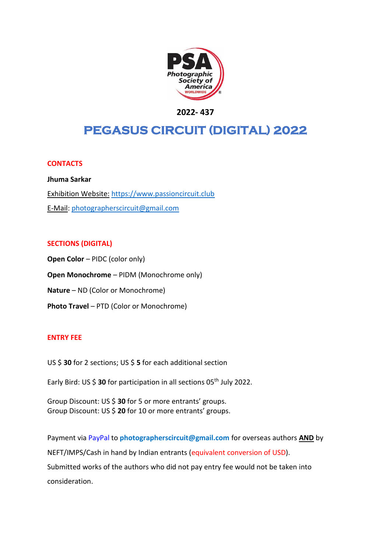

**2022- 437**

# **PEGASUS CIRCUIT (DIGITAL) 2022**

#### **CONTACTS**

**Jhuma Sarkar** Exhibition Website: [https://www.passioncircuit.club](https://www.passioncircuit.club/) E-Mail: [photographerscircuit@gmail.com](mailto:photographerscircuit@gmail.com)

#### **SECTIONS (DIGITAL)**

**Open Color** – PIDC (color only) **Open Monochrome** – PIDM (Monochrome only) **Nature** – ND (Color or Monochrome) **Photo Travel** – PTD (Color or Monochrome)

#### **ENTRY FEE**

US \$ **30** for 2 sections; US \$ **5** for each additional section

Early Bird: US \$ 30 for participation in all sections 05<sup>th</sup> July 2022.

Group Discount: US \$ **30** for 5 or more entrants' groups. Group Discount: US \$ **20** for 10 or more entrants' groups.

Payment via PayPal to **photographerscircuit@gmail.com** for overseas authors **AND** by NEFT/IMPS/Cash in hand by Indian entrants (equivalent conversion of USD). Submitted works of the authors who did not pay entry fee would not be taken into consideration.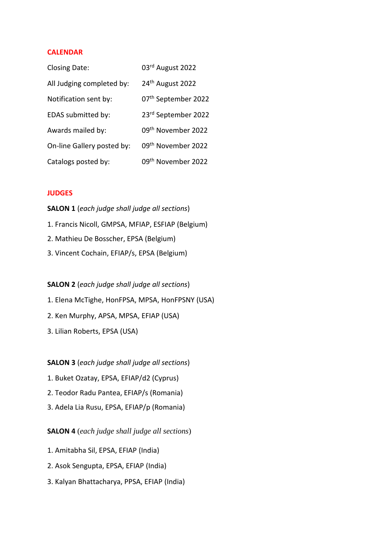#### **CALENDAR**

| <b>Closing Date:</b>       | 03rd August 2022               |
|----------------------------|--------------------------------|
| All Judging completed by:  | 24 <sup>th</sup> August 2022   |
| Notification sent by:      | 07th September 2022            |
| EDAS submitted by:         | 23rd September 2022            |
| Awards mailed by:          | 09 <sup>th</sup> November 2022 |
| On-line Gallery posted by: | 09 <sup>th</sup> November 2022 |
| Catalogs posted by:        | 09 <sup>th</sup> November 2022 |

#### **JUDGES**

**SALON 1** (*each judge shall judge all sections*) 1. Francis Nicoll, GMPSA, MFIAP, ESFIAP (Belgium) 2. Mathieu De Bosscher, EPSA (Belgium) 3. Vincent Cochain, EFIAP/s, EPSA (Belgium)

# **SALON 2** (*each judge shall judge all sections*)

1. Elena McTighe, HonFPSA, MPSA, HonFPSNY (USA)

- 2. Ken Murphy, APSA, MPSA, EFIAP (USA)
- 3. Lilian Roberts, EPSA (USA)

#### **SALON 3** (*each judge shall judge all sections*)

- 1. Buket Ozatay, EPSA, EFIAP/d2 (Cyprus)
- 2. Teodor Radu Pantea, EFIAP/s (Romania)
- 3. Adela Lia Rusu, EPSA, EFIAP/p (Romania)

**SALON 4** (*each judge shall judge all sections*)

- 1. Amitabha Sil, EPSA, EFIAP (India)
- 2. Asok Sengupta, EPSA, EFIAP (India)
- 3. Kalyan Bhattacharya, PPSA, EFIAP (India)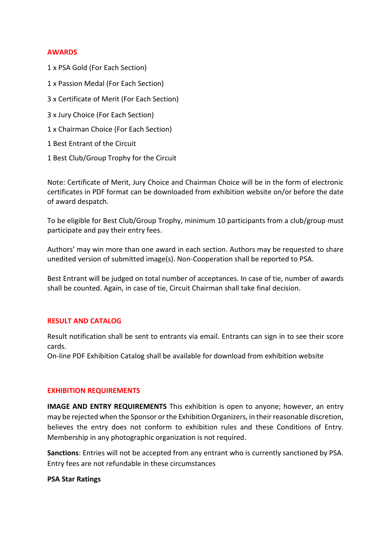#### **AWARDS**

- 1 x PSA Gold (For Each Section)
- 1 x Passion Medal (For Each Section)
- 3 x Certificate of Merit (For Each Section)
- 3 x Jury Choice (For Each Section)
- 1 x Chairman Choice (For Each Section)
- 1 Best Entrant of the Circuit
- 1 Best Club/Group Trophy for the Circuit

Note: Certificate of Merit, Jury Choice and Chairman Choice will be in the form of electronic certificates in PDF format can be downloaded from exhibition website on/or before the date of award despatch.

To be eligible for Best Club/Group Trophy, minimum 10 participants from a club/group must participate and pay their entry fees.

Authors' may win more than one award in each section. Authors may be requested to share unedited version of submitted image(s). Non-Cooperation shall be reported to PSA.

Best Entrant will be judged on total number of acceptances. In case of tie, number of awards shall be counted. Again, in case of tie, Circuit Chairman shall take final decision.

#### **RESULT AND CATALOG**

Result notification shall be sent to entrants via email. Entrants can sign in to see their score cards.

On-line PDF Exhibition Catalog shall be available for download from exhibition website

#### **EXHIBITION REQUIREMENTS**

**IMAGE AND ENTRY REQUIREMENTS** This exhibition is open to anyone; however, an entry may be rejected when the Sponsor or the Exhibition Organizers, in their reasonable discretion, believes the entry does not conform to exhibition rules and these Conditions of Entry. Membership in any photographic organization is not required.

**Sanctions**: Entries will not be accepted from any entrant who is currently sanctioned by PSA. Entry fees are not refundable in these circumstances

#### **PSA Star Ratings**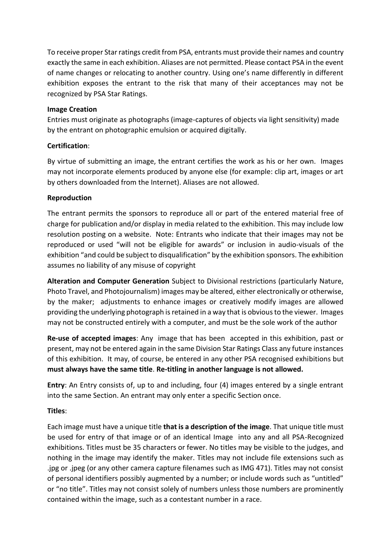To receive proper Star ratings credit from PSA, entrants must provide their names and country exactly the same in each exhibition. Aliases are not permitted. Please contact PSA in the event of name changes or relocating to another country. Using one's name differently in different exhibition exposes the entrant to the risk that many of their acceptances may not be recognized by PSA Star Ratings.

# **Image Creation**

Entries must originate as photographs (image-captures of objects via light sensitivity) made by the entrant on photographic emulsion or acquired digitally.

# **Certification**:

By virtue of submitting an image, the entrant certifies the work as his or her own. Images may not incorporate elements produced by anyone else (for example: clip art, images or art by others downloaded from the Internet). Aliases are not allowed.

# **Reproduction**

The entrant permits the sponsors to reproduce all or part of the entered material free of charge for publication and/or display in media related to the exhibition. This may include low resolution posting on a website. Note: Entrants who indicate that their images may not be reproduced or used "will not be eligible for awards" or inclusion in audio-visuals of the exhibition "and could be subject to disqualification" by the exhibition sponsors. The exhibition assumes no liability of any misuse of copyright

**Alteration and Computer Generation** Subject to Divisional restrictions (particularly Nature, Photo Travel, and Photojournalism) images may be altered, either electronically or otherwise, by the maker; adjustments to enhance images or creatively modify images are allowed providing the underlying photograph is retained in a way that is obvious to the viewer. Images may not be constructed entirely with a computer, and must be the sole work of the author

**Re-use of accepted images**: Any image that has been accepted in this exhibition, past or present, may not be entered again in the same Division Star Ratings Class any future instances of this exhibition. It may, of course, be entered in any other PSA recognised exhibitions but **must always have the same title**. **Re-titling in another language is not allowed.**

**Entry**: An Entry consists of, up to and including, four (4) images entered by a single entrant into the same Section. An entrant may only enter a specific Section once.

# **Titles**:

Each image must have a unique title **that is a description of the image**. That unique title must be used for entry of that image or of an identical Image into any and all PSA-Recognized exhibitions. Titles must be 35 characters or fewer. No titles may be visible to the judges, and nothing in the image may identify the maker. Titles may not include file extensions such as .jpg or .jpeg (or any other camera capture filenames such as IMG 471). Titles may not consist of personal identifiers possibly augmented by a number; or include words such as "untitled" or "no title". Titles may not consist solely of numbers unless those numbers are prominently contained within the image, such as a contestant number in a race.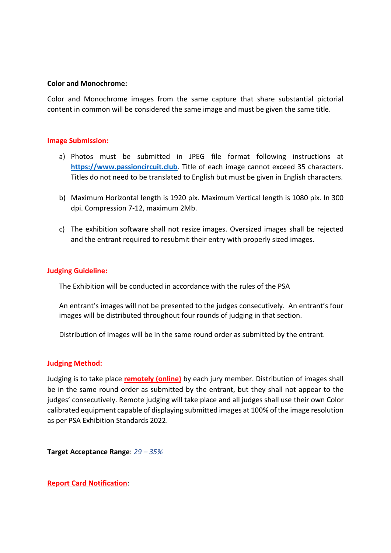#### **Color and Monochrome:**

Color and Monochrome images from the same capture that share substantial pictorial content in common will be considered the same image and must be given the same title.

#### **Image Submission:**

- a) Photos must be submitted in JPEG file format following instructions at **[https://www.passioncircuit.club](https://www.passioncircuit.club/)**. Title of each image cannot exceed 35 characters. Titles do not need to be translated to English but must be given in English characters.
- b) Maximum Horizontal length is 1920 pix. Maximum Vertical length is 1080 pix. In 300 dpi. Compression 7-12, maximum 2Mb.
- c) The exhibition software shall not resize images. Oversized images shall be rejected and the entrant required to resubmit their entry with properly sized images.

#### **Judging Guideline:**

The Exhibition will be conducted in accordance with the rules of the PSA

An entrant's images will not be presented to the judges consecutively. An entrant's four images will be distributed throughout four rounds of judging in that section.

Distribution of images will be in the same round order as submitted by the entrant.

#### **Judging Method:**

Judging is to take place **remotely (online)** by each jury member. Distribution of images shall be in the same round order as submitted by the entrant, but they shall not appear to the judges' consecutively. Remote judging will take place and all judges shall use their own Color calibrated equipment capable of displaying submitted images at 100% of the image resolution as per PSA Exhibition Standards 2022.

**Target Acceptance Range**: *29 – 35%* 

**Report Card Notification**: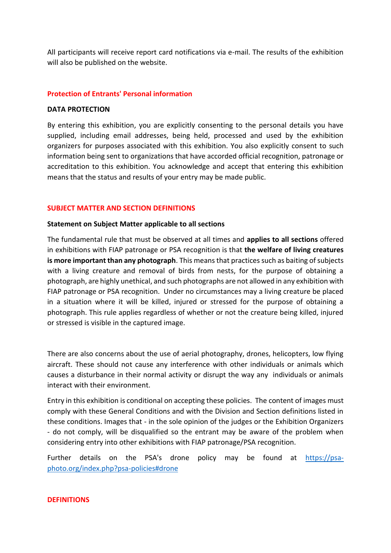All participants will receive report card notifications via e-mail. The results of the exhibition will also be published on the website.

#### **Protection of Entrants' Personal information**

#### **DATA PROTECTION**

By entering this exhibition, you are explicitly consenting to the personal details you have supplied, including email addresses, being held, processed and used by the exhibition organizers for purposes associated with this exhibition. You also explicitly consent to such information being sent to organizations that have accorded official recognition, patronage or accreditation to this exhibition. You acknowledge and accept that entering this exhibition means that the status and results of your entry may be made public.

#### **SUBJECT MATTER AND SECTION DEFINITIONS**

#### **Statement on Subject Matter applicable to all sections**

The fundamental rule that must be observed at all times and **applies to all sections** offered in exhibitions with FIAP patronage or PSA recognition is that **the welfare of living creatures is more important than any photograph**. This means that practices such as baiting of subjects with a living creature and removal of birds from nests, for the purpose of obtaining a photograph, are highly unethical, and such photographs are not allowed in any exhibition with FIAP patronage or PSA recognition. Under no circumstances may a living creature be placed in a situation where it will be killed, injured or stressed for the purpose of obtaining a photograph. This rule applies regardless of whether or not the creature being killed, injured or stressed is visible in the captured image.

There are also concerns about the use of aerial photography, drones, helicopters, low flying aircraft. These should not cause any interference with other individuals or animals which causes a disturbance in their normal activity or disrupt the way any individuals or animals interact with their environment.

Entry in this exhibition is conditional on accepting these policies. The content of images must comply with these General Conditions and with the Division and Section definitions listed in these conditions. Images that - in the sole opinion of the judges or the Exhibition Organizers - do not comply, will be disqualified so the entrant may be aware of the problem when considering entry into other exhibitions with FIAP patronage/PSA recognition.

Further details on the PSA's drone policy may be found at [https://psa](https://psa-photo.org/index.php?psa-policies%23drone)[photo.org/index.php?psa-policies#drone](https://psa-photo.org/index.php?psa-policies%23drone)

#### **DEFINITIONS**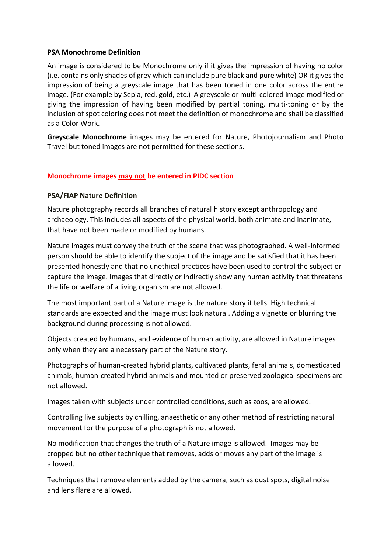#### **PSA Monochrome Definition**

An image is considered to be Monochrome only if it gives the impression of having no color (i.e. contains only shades of grey which can include pure black and pure white) OR it gives the impression of being a greyscale image that has been toned in one color across the entire image. (For example by Sepia, red, gold, etc.) A greyscale or multi-colored image modified or giving the impression of having been modified by partial toning, multi-toning or by the inclusion of spot coloring does not meet the definition of monochrome and shall be classified as a Color Work.

**Greyscale Monochrome** images may be entered for Nature, Photojournalism and Photo Travel but toned images are not permitted for these sections.

# **Monochrome images may not be entered in PIDC section**

#### **PSA/FIAP Nature Definition**

Nature photography records all branches of natural history except anthropology and archaeology. This includes all aspects of the physical world, both animate and inanimate, that have not been made or modified by humans.

Nature images must convey the truth of the scene that was photographed. A well-informed person should be able to identify the subject of the image and be satisfied that it has been presented honestly and that no unethical practices have been used to control the subject or capture the image. Images that directly or indirectly show any human activity that threatens the life or welfare of a living organism are not allowed.

The most important part of a Nature image is the nature story it tells. High technical standards are expected and the image must look natural. Adding a vignette or blurring the background during processing is not allowed.

Objects created by humans, and evidence of human activity, are allowed in Nature images only when they are a necessary part of the Nature story.

Photographs of human-created hybrid plants, cultivated plants, feral animals, domesticated animals, human-created hybrid animals and mounted or preserved zoological specimens are not allowed.

Images taken with subjects under controlled conditions, such as zoos, are allowed.

Controlling live subjects by chilling, anaesthetic or any other method of restricting natural movement for the purpose of a photograph is not allowed.

No modification that changes the truth of a Nature image is allowed. Images may be cropped but no other technique that removes, adds or moves any part of the image is allowed.

Techniques that remove elements added by the camera, such as dust spots, digital noise and lens flare are allowed.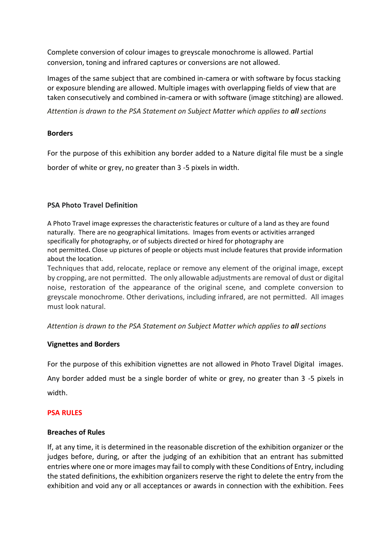Complete conversion of colour images to greyscale monochrome is allowed. Partial conversion, toning and infrared captures or conversions are not allowed.

Images of the same subject that are combined in-camera or with software by focus stacking or exposure blending are allowed. Multiple images with overlapping fields of view that are taken consecutively and combined in-camera or with software (image stitching) are allowed.

*Attention is drawn to the PSA Statement on Subject Matter which applies to all sections*

# **Borders**

For the purpose of this exhibition any border added to a Nature digital file must be a single border of white or grey, no greater than 3 -5 pixels in width.

# **PSA Photo Travel Definition**

A Photo Travel image expresses the characteristic features or culture of a land as they are found naturally. There are no geographical limitations. Images from events or activities arranged specifically for photography, or of subjects directed or hired for photography are not permitted**.** Close up pictures of people or objects must include features that provide information about the location.

Techniques that add, relocate, replace or remove any element of the original image, except by cropping, are not permitted. The only allowable adjustments are removal of dust or digital noise, restoration of the appearance of the original scene, and complete conversion to greyscale monochrome. Other derivations, including infrared, are not permitted. All images must look natural.

*Attention is drawn to the PSA Statement on Subject Matter which applies to all sections*

#### **Vignettes and Borders**

For the purpose of this exhibition vignettes are not allowed in Photo Travel Digital images.

Any border added must be a single border of white or grey, no greater than 3 -5 pixels in width.

#### **PSA RULES**

#### **Breaches of Rules**

If, at any time, it is determined in the reasonable discretion of the exhibition organizer or the judges before, during, or after the judging of an exhibition that an entrant has submitted entries where one or more images may fail to comply with these Conditions of Entry, including the stated definitions, the exhibition organizers reserve the right to delete the entry from the exhibition and void any or all acceptances or awards in connection with the exhibition. Fees